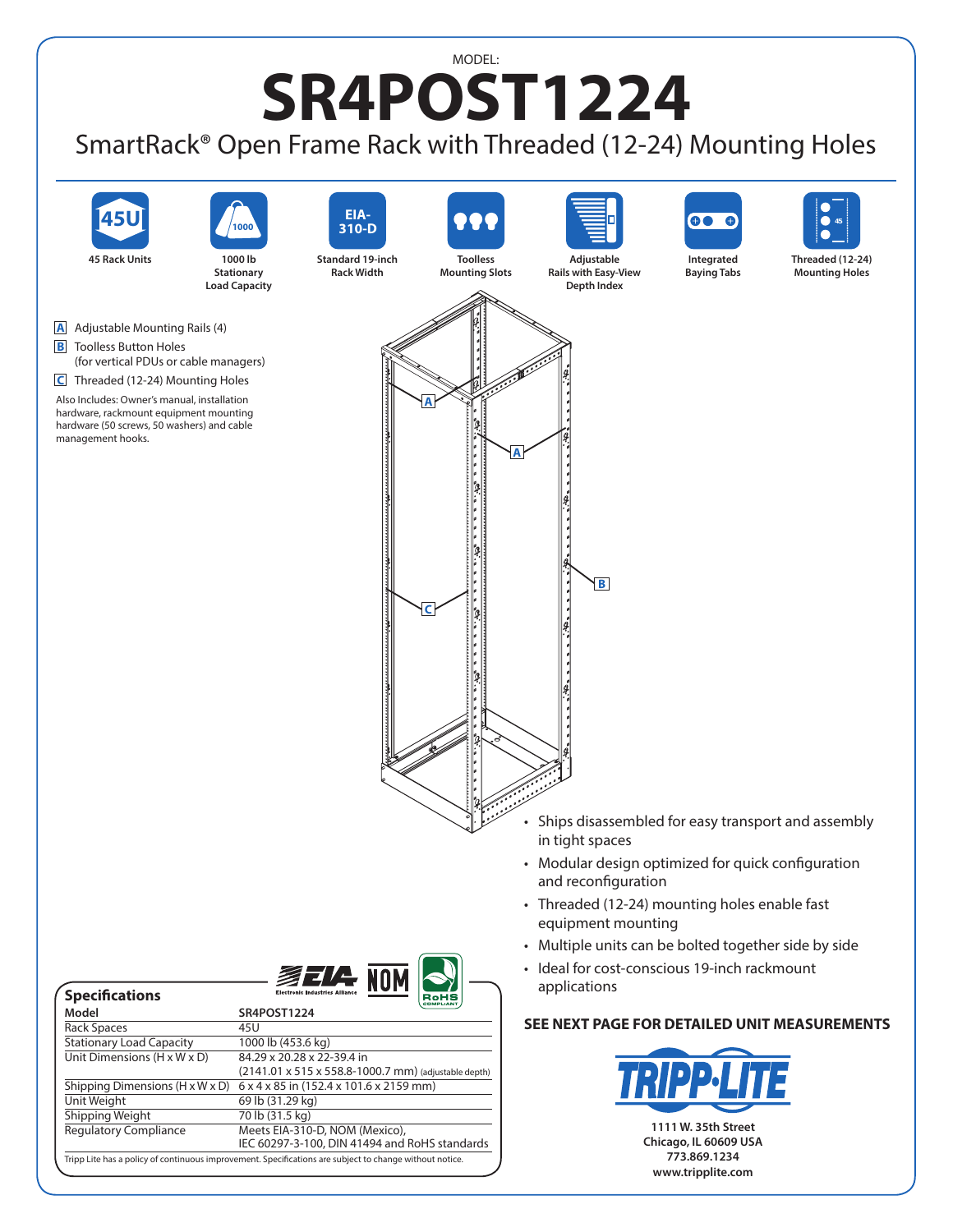## MODEL: **SR4POST1224**

SmartRack® Open Frame Rack with Threaded (12-24) Mounting Holes